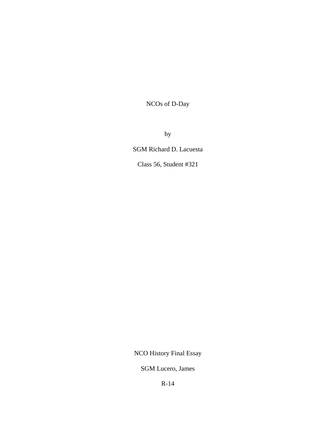NCOs of D-Day

by

SGM Richard D. Lacuesta

Class 56, Student #321

NCO History Final Essay

SGM Lucero, James

R-14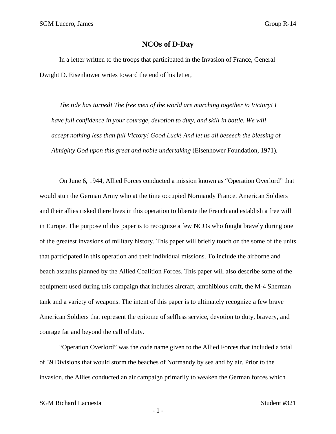## **NCOs of D-Day**

In a letter written to the troops that participated in the Invasion of France, General Dwight D. Eisenhower writes toward the end of his letter,

 *The tide has turned! The free men of the world are marching together to Victory! I have full confidence in your courage, devotion to duty, and skill in battle. We will accept nothing less than full Victory! Good Luck! And let us all beseech the blessing of Almighty God upon this great and noble undertaking* (Eisenhower Foundation, 1971)*.* 

 On June 6, 1944, Allied Forces conducted a mission known as "Operation Overlord" that would stun the German Army who at the time occupied Normandy France. American Soldiers and their allies risked there lives in this operation to liberate the French and establish a free will in Europe. The purpose of this paper is to recognize a few NCOs who fought bravely during one of the greatest invasions of military history. This paper will briefly touch on the some of the units that participated in this operation and their individual missions. To include the airborne and beach assaults planned by the Allied Coalition Forces. This paper will also describe some of the equipment used during this campaign that includes aircraft, amphibious craft, the M-4 Sherman tank and a variety of weapons. The intent of this paper is to ultimately recognize a few brave American Soldiers that represent the epitome of selfless service, devotion to duty, bravery, and courage far and beyond the call of duty.

"Operation Overlord" was the code name given to the Allied Forces that included a total of 39 Divisions that would storm the beaches of Normandy by sea and by air. Prior to the invasion, the Allies conducted an air campaign primarily to weaken the German forces which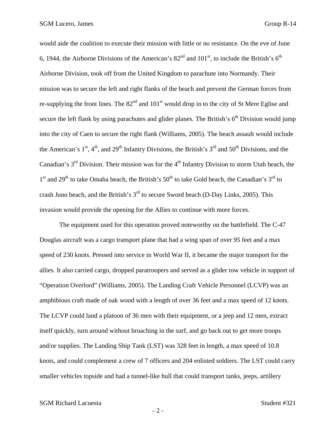would aide the coalition to execute their mission with little or no resistance. On the eve of June 6, 1944, the Airborne Divisions of the American's  $82<sup>nd</sup>$  and  $101<sup>st</sup>$ , to include the British's  $6<sup>th</sup>$ Airborne Division, took off from the United Kingdom to parachute into Normandy. Their mission was to secure the left and right flanks of the beach and prevent the German forces from re-supplying the front lines. The  $82<sup>nd</sup>$  and  $101<sup>st</sup>$  would drop in to the city of St Mere Eglise and secure the left flank by using parachutes and glider planes. The British's  $6<sup>th</sup>$  Division would jump into the city of Caen to secure the right flank (Williams, 2005). The beach assault would include the American's  $1<sup>st</sup>$ ,  $4<sup>th</sup>$ , and  $29<sup>th</sup>$  Infantry Divisions, the British's  $3<sup>rd</sup>$  and  $50<sup>th</sup>$  Divisions, and the Canadian's  $3<sup>rd</sup>$  Division. Their mission was for the  $4<sup>th</sup>$  Infantry Division to storm Utah beach, the  $1<sup>st</sup>$  and  $29<sup>th</sup>$  to take Omaha beach, the British's  $50<sup>th</sup>$  to take Gold beach, the Canadian's  $3<sup>rd</sup>$  to crash Juno beach, and the British's 3<sup>rd</sup> to secure Sword beach (D-Day Links, 2005). This invasion would provide the opening for the Allies to continue with more forces.

 The equipment used for this operation proved noteworthy on the battlefield. The C-47 Douglas aircraft was a cargo transport plane that had a wing span of over 95 feet and a max speed of 230 knots. Pressed into service in World War II, it became the major transport for the allies. It also carried cargo, dropped paratroopers and served as a glider tow vehicle in support of "Operation Overlord" (Williams, 2005). The Landing Craft Vehicle Personnel (LCVP) was an amphibious craft made of oak wood with a length of over 36 feet and a max speed of 12 knots. The LCVP could land a platoon of 36 men with their equipment, or a jeep and 12 men, extract itself quickly, turn around without broaching in the surf, and go back out to get more troops and/or supplies. The Landing Ship Tank (LST) was 328 feet in length, a max speed of 10.8 knots, and could complement a crew of 7 officers and 204 enlisted soldiers. The LST could carry smaller vehicles topside and had a tunnel-like hull that could transport tanks, jeeps, artillery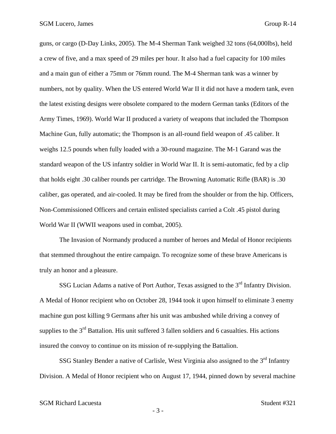guns, or cargo (D-Day Links, 2005). The M-4 Sherman Tank weighed 32 tons (64,000lbs), held a crew of five, and a max speed of 29 miles per hour. It also had a fuel capacity for 100 miles and a main gun of either a 75mm or 76mm round. The M-4 Sherman tank was a winner by numbers, not by quality. When the US entered World War II it did not have a modern tank, even the latest existing designs were obsolete compared to the modern German tanks (Editors of the Army Times, 1969). World War II produced a variety of weapons that included the Thompson Machine Gun, fully automatic; the Thompson is an all-round field weapon of .45 caliber. It weighs 12.5 pounds when fully loaded with a 30-round magazine. The M-1 Garand was the standard weapon of the US infantry soldier in World War II. It is semi-automatic, fed by a clip that holds eight .30 caliber rounds per cartridge. The Browning Automatic Rifle (BAR) is .30 caliber, gas operated, and air-cooled. It may be fired from the shoulder or from the hip. Officers, Non-Commissioned Officers and certain enlisted specialists carried a Colt .45 pistol during World War II (WWII weapons used in combat, 2005).

 The Invasion of Normandy produced a number of heroes and Medal of Honor recipients that stemmed throughout the entire campaign. To recognize some of these brave Americans is truly an honor and a pleasure.

SSG Lucian Adams a native of Port Author, Texas assigned to the 3<sup>rd</sup> Infantry Division. A Medal of Honor recipient who on October 28, 1944 took it upon himself to eliminate 3 enemy machine gun post killing 9 Germans after his unit was ambushed while driving a convey of supplies to the  $3<sup>rd</sup>$  Battalion. His unit suffered 3 fallen soldiers and 6 casualties. His actions insured the convoy to continue on its mission of re-supplying the Battalion.

SSG Stanley Bender a native of Carlisle, West Virginia also assigned to the 3<sup>rd</sup> Infantry Division. A Medal of Honor recipient who on August 17, 1944, pinned down by several machine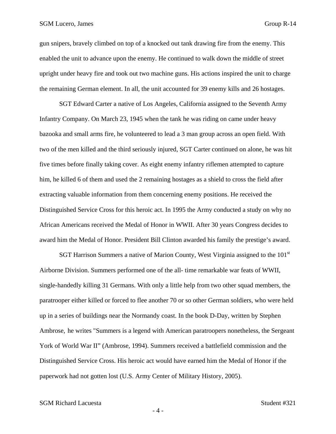gun snipers, bravely climbed on top of a knocked out tank drawing fire from the enemy. This enabled the unit to advance upon the enemy. He continued to walk down the middle of street upright under heavy fire and took out two machine guns. His actions inspired the unit to charge the remaining German element. In all, the unit accounted for 39 enemy kills and 26 hostages.

 SGT Edward Carter a native of Los Angeles, California assigned to the Seventh Army Infantry Company. On March 23, 1945 when the tank he was riding on came under heavy bazooka and small arms fire, he volunteered to lead a 3 man group across an open field. With two of the men killed and the third seriously injured, SGT Carter continued on alone, he was hit five times before finally taking cover. As eight enemy infantry riflemen attempted to capture him, he killed 6 of them and used the 2 remaining hostages as a shield to cross the field after extracting valuable information from them concerning enemy positions. He received the Distinguished Service Cross for this heroic act. In 1995 the Army conducted a study on why no African Americans received the Medal of Honor in WWII. After 30 years Congress decides to award him the Medal of Honor. President Bill Clinton awarded his family the prestige's award.

SGT Harrison Summers a native of Marion County, West Virginia assigned to the 101<sup>st</sup> Airborne Division. Summers performed one of the all- time remarkable war feats of WWII, single-handedly killing 31 Germans. With only a little help from two other squad members, the paratrooper either killed or forced to flee another 70 or so other German soldiers, who were held up in a series of buildings near the Normandy coast. In the book D-Day, written by Stephen Ambrose, he writes "Summers is a legend with American paratroopers nonetheless, the Sergeant York of World War II" (Ambrose, 1994). Summers received a battlefield commission and the Distinguished Service Cross. His heroic act would have earned him the Medal of Honor if the paperwork had not gotten lost (U.S. Army Center of Military History, 2005).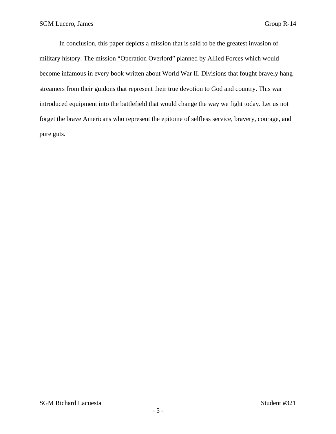In conclusion, this paper depicts a mission that is said to be the greatest invasion of military history. The mission "Operation Overlord" planned by Allied Forces which would become infamous in every book written about World War II. Divisions that fought bravely hang streamers from their guidons that represent their true devotion to God and country. This war introduced equipment into the battlefield that would change the way we fight today. Let us not forget the brave Americans who represent the epitome of selfless service, bravery, courage, and pure guts.